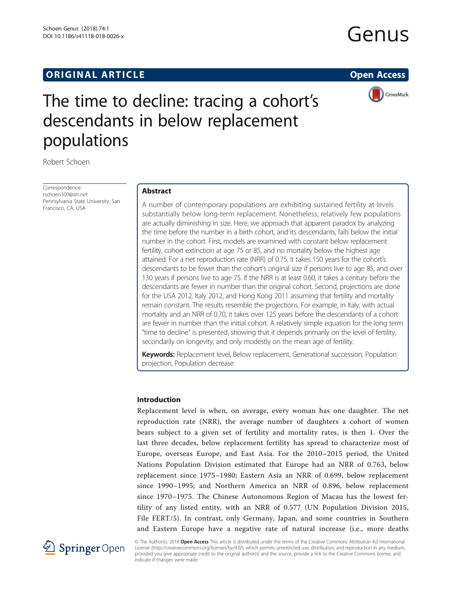## **ORIGINAL ARTICLE CONSUMING A LIGACION CONSUMING A LIGACION**

# Genus



## The time to decline: tracing a cohort's descendants in below replacement populations

Robert Schoen

Correspondence: [rschoen309@att.net](mailto:rschoen309@att.net) Pennsylvania State University, San Francisco, CA, USA

## Abstract

A number of contemporary populations are exhibiting sustained fertility at levels substantially below long-term replacement. Nonetheless, relatively few populations are actually diminishing in size. Here, we approach that apparent paradox by analyzing the time before the number in a birth cohort, and its descendants, falls below the initial number in the cohort. First, models are examined with constant below replacement fertility, cohort extinction at age 75 or 85, and no mortality below the highest age attained. For a net reproduction rate (NRR) of 0.75, it takes 150 years for the cohort's descendants to be fewer than the cohort's original size if persons live to age 85, and over 130 years if persons live to age 75. If the NRR is at least 0.60, it takes a century before the descendants are fewer in number than the original cohort. Second, projections are done for the USA 2012, Italy 2012, and Hong Kong 2011 assuming that fertility and mortality remain constant. The results resemble the projections. For example, in Italy, with actual mortality and an NRR of 0.70, it takes over 125 years before the descendants of a cohort are fewer in number than the initial cohort. A relatively simple equation for the long term "time to decline" is presented, showing that it depends primarily on the level of fertility, secondarily on longevity, and only modestly on the mean age of fertility.

Keywords: Replacement level, Below replacement, Generational succession, Population projection, Population decrease

## Introduction

Replacement level is when, on average, every woman has one daughter. The net reproduction rate (NRR), the average number of daughters a cohort of women bears subject to a given set of fertility and mortality rates, is then 1. Over the last three decades, below replacement fertility has spread to characterize most of Europe, overseas Europe, and East Asia. For the 2010–2015 period, the United Nations Population Division estimated that Europe had an NRR of 0.763, below replacement since 1975–1980; Eastern Asia an NRR of 0.699, below replacement since 1990–1995; and Northern America an NRR of 0.896, below replacement since 1970–1975. The Chinese Autonomous Region of Macau has the lowest fertility of any listed entity, with an NRR of 0.577 (UN Population Division [2015](#page-9-0), File FERT/5). In contrast, only Germany, Japan, and some countries in Southern and Eastern Europe have a negative rate of natural increase (i.e., more deaths



© The Author(s). 2018 Open Access This article is distributed under the terms of the Creative Commons Attribution 4.0 International License [\(http://creativecommons.org/licenses/by/4.0/](http://creativecommons.org/licenses/by/4.0/)), which permits unrestricted use, distribution, and reproduction in any medium, provided you give appropriate credit to the original author(s) and the source, provide a link to the Creative Commons license, and indicate if changes were made.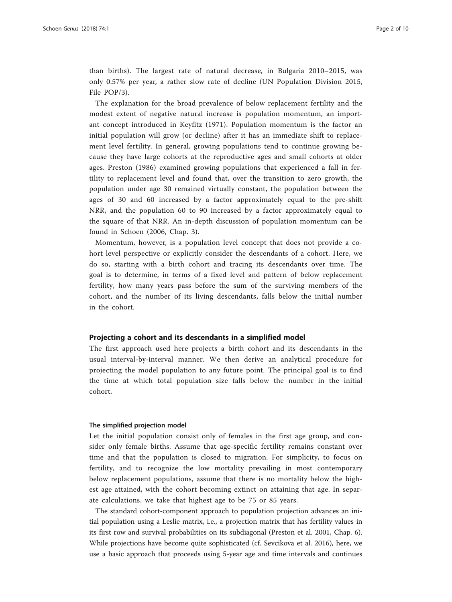than births). The largest rate of natural decrease, in Bulgaria 2010–2015, was only 0.57% per year, a rather slow rate of decline (UN Population Division [2015](#page-9-0), File POP/3).

The explanation for the broad prevalence of below replacement fertility and the modest extent of negative natural increase is population momentum, an important concept introduced in Keyfitz [\(1971\)](#page-9-0). Population momentum is the factor an initial population will grow (or decline) after it has an immediate shift to replacement level fertility. In general, growing populations tend to continue growing because they have large cohorts at the reproductive ages and small cohorts at older ages. Preston ([1986\)](#page-9-0) examined growing populations that experienced a fall in fertility to replacement level and found that, over the transition to zero growth, the population under age 30 remained virtually constant, the population between the ages of 30 and 60 increased by a factor approximately equal to the pre-shift NRR, and the population 60 to 90 increased by a factor approximately equal to the square of that NRR. An in-depth discussion of population momentum can be found in Schoen ([2006](#page-9-0), Chap. 3).

Momentum, however, is a population level concept that does not provide a cohort level perspective or explicitly consider the descendants of a cohort. Here, we do so, starting with a birth cohort and tracing its descendants over time. The goal is to determine, in terms of a fixed level and pattern of below replacement fertility, how many years pass before the sum of the surviving members of the cohort, and the number of its living descendants, falls below the initial number in the cohort.

## Projecting a cohort and its descendants in a simplified model

The first approach used here projects a birth cohort and its descendants in the usual interval-by-interval manner. We then derive an analytical procedure for projecting the model population to any future point. The principal goal is to find the time at which total population size falls below the number in the initial cohort.

### The simplified projection model

Let the initial population consist only of females in the first age group, and consider only female births. Assume that age-specific fertility remains constant over time and that the population is closed to migration. For simplicity, to focus on fertility, and to recognize the low mortality prevailing in most contemporary below replacement populations, assume that there is no mortality below the highest age attained, with the cohort becoming extinct on attaining that age. In separate calculations, we take that highest age to be 75 or 85 years.

The standard cohort-component approach to population projection advances an initial population using a Leslie matrix, i.e., a projection matrix that has fertility values in its first row and survival probabilities on its subdiagonal (Preston et al. [2001,](#page-9-0) Chap. 6). While projections have become quite sophisticated (cf. Sevcikova et al. [2016](#page-9-0)), here, we use a basic approach that proceeds using 5-year age and time intervals and continues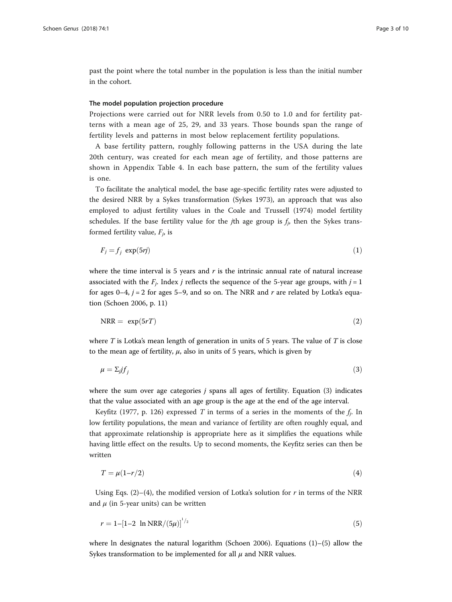<span id="page-2-0"></span>past the point where the total number in the population is less than the initial number in the cohort.

### The model population projection procedure

Projections were carried out for NRR levels from 0.50 to 1.0 and for fertility patterns with a mean age of 25, 29, and 33 years. Those bounds span the range of fertility levels and patterns in most below replacement fertility populations.

A base fertility pattern, roughly following patterns in the USA during the late 20th century, was created for each mean age of fertility, and those patterns are shown in [Appendix](#page-9-0) Table 4. In each base pattern, the sum of the fertility values is one.

To facilitate the analytical model, the base age-specific fertility rates were adjusted to the desired NRR by a Sykes transformation (Sykes [1973](#page-9-0)), an approach that was also employed to adjust fertility values in the Coale and Trussell ([1974](#page-9-0)) model fertility schedules. If the base fertility value for the *j*th age group is  $f_i$ , then the Sykes transformed fertility value,  $F_i$ , is

$$
F_j = f_j \exp(5rj) \tag{1}
$$

where the time interval is 5 years and  $r$  is the intrinsic annual rate of natural increase associated with the  $F_i$ . Index *j* reflects the sequence of the 5-year age groups, with  $j = 1$ for ages 0–4,  $j = 2$  for ages 5–9, and so on. The NRR and r are related by Lotka's equation (Schoen [2006](#page-9-0), p. 11)

$$
NRR = \exp(5rT) \tag{2}
$$

where  $T$  is Lotka's mean length of generation in units of 5 years. The value of  $T$  is close to the mean age of fertility,  $\mu$ , also in units of 5 years, which is given by

$$
\mu = \sum_{j} f_j \tag{3}
$$

where the sum over age categories  $j$  spans all ages of fertility. Equation  $(3)$  indicates that the value associated with an age group is the age at the end of the age interval.

Keyfitz ([1977,](#page-9-0) p. 126) expressed T in terms of a series in the moments of the  $f_i$ . In low fertility populations, the mean and variance of fertility are often roughly equal, and that approximate relationship is appropriate here as it simplifies the equations while having little effect on the results. Up to second moments, the Keyfitz series can then be written

$$
T = \mu(1 - r/2) \tag{4}
$$

Using Eqs. (2)–(4), the modified version of Lotka's solution for r in terms of the NRR and  $\mu$  (in 5-year units) can be written

$$
r = 1 - [1 - 2 \ln \text{NRR} / (5\mu)]^{1/2} \tag{5}
$$

where ln designates the natural logarithm (Schoen [2006](#page-9-0)). Equations  $(1)$ – $(5)$  allow the Sykes transformation to be implemented for all  $\mu$  and NRR values.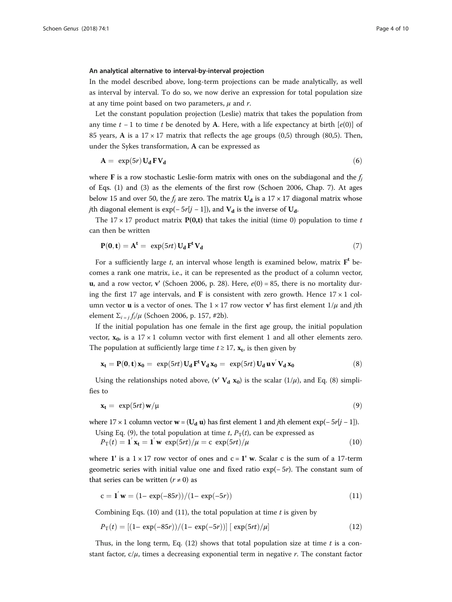### <span id="page-3-0"></span>An analytical alternative to interval-by-interval projection

In the model described above, long-term projections can be made analytically, as well as interval by interval. To do so, we now derive an expression for total population size at any time point based on two parameters,  $\mu$  and r.

Let the constant population projection (Leslie) matrix that takes the population from any time  $t - 1$  to time t be denoted by A. Here, with a life expectancy at birth  $[e(0)]$  of 85 years, A is a  $17 \times 17$  matrix that reflects the age groups (0,5) through (80,5). Then, under the Sykes transformation, A can be expressed as

$$
A = \exp(5r) U_d F V_d \tag{6}
$$

where **F** is a row stochastic Leslie-form matrix with ones on the subdiagonal and the  $f_i$ of Eqs. ([1\)](#page-2-0) and ([3](#page-2-0)) as the elements of the first row (Schoen [2006](#page-9-0), Chap. 7). At ages below 15 and over 50, the  $f_i$  are zero. The matrix  $U_d$  is a 17 × 17 diagonal matrix whose jth diagonal element is exp(- 5r[j - 1]), and  $V_d$  is the inverse of  $U_d$ .

The 17 x 17 product matrix  $P(0,t)$  that takes the initial (time 0) population to time t can then be written

$$
\mathbf{P}(\mathbf{0}, \mathbf{t}) = \mathbf{A}^{\mathbf{t}} = \exp(5rt) \mathbf{U}_{\mathbf{d}} \mathbf{F}^{\mathbf{t}} \mathbf{V}_{\mathbf{d}} \tag{7}
$$

For a sufficiently large t, an interval whose length is examined below, matrix  $F<sup>t</sup>$  becomes a rank one matrix, i.e., it can be represented as the product of a column vector, **u**, and a row vector, **v**' (Schoen [2006](#page-9-0), p. 28). Here,  $e(0) = 85$ , there is no mortality during the first 17 age intervals, and **F** is consistent with zero growth. Hence  $17 \times 1$  column vector **u** is a vector of ones. The  $1 \times 17$  row vector **v**' has first element  $1/\mu$  and *j*th element  $\Sigma_{i} = i f_i / μ$  (Schoen [2006](#page-9-0), p. 157, #2b).

If the initial population has one female in the first age group, the initial population vector,  $x_0$ , is a 17 × 1 column vector with first element 1 and all other elements zero. The population at sufficiently large time  $t \geq 17$ ,  $x_t$ , is then given by

$$
\mathbf{x_t} = \mathbf{P}(\mathbf{0}, \mathbf{t}) \mathbf{x_0} = \exp(5rt) \mathbf{U_d} \mathbf{F}^t \mathbf{V_d} \mathbf{x_0} = \exp(5rt) \mathbf{U_d} \mathbf{u} \mathbf{v'} \mathbf{V_d} \mathbf{x_0}
$$
(8)

Using the relationships noted above, (v'  $V_d$   $x_0$ ) is the scalar (1/ $\mu$ ), and Eq. (8) simplifies to

$$
\mathbf{x_t} = \exp(5rt)\,\mathbf{w}/\mu \tag{9}
$$

where  $17 \times 1$  column vector  $\mathbf{w} = (\mathbf{U}_d \mathbf{u})$  has first element 1 and *j*th element exp(− 5*r*[*j* − 1]).

Using Eq. (9), the total population at time t,  $P_T(t)$ , can be expressed as  $\overline{a}$  $\overline{a}$ 

$$
P_{\rm T}(t) = \mathbf{1}' \mathbf{x_t} = \mathbf{1}' \mathbf{w} \, \exp(5rt) / \mu = c \, \exp(5rt) / \mu \tag{10}
$$

where 1' is a  $1 \times 17$  row vector of ones and  $c = 1'$  w. Scalar c is the sum of a 17-term geometric series with initial value one and fixed ratio exp(− 5r). The constant sum of that series can be written  $(r \neq 0)$  as

$$
c = 1'w = (1 - \exp(-85r))/(1 - \exp(-5r))
$$
\n(11)

Combining Eqs. (10) and (11), the total population at time  $t$  is given by

$$
P_{\rm T}(t) = \left[ (1 - \exp(-85r)) / (1 - \exp(-5r)) \right] \left[ \exp(5rt) / \mu \right] \tag{12}
$$

Thus, in the long term, Eq.  $(12)$  shows that total population size at time t is a constant factor,  $c/\mu$ , times a decreasing exponential term in negative r. The constant factor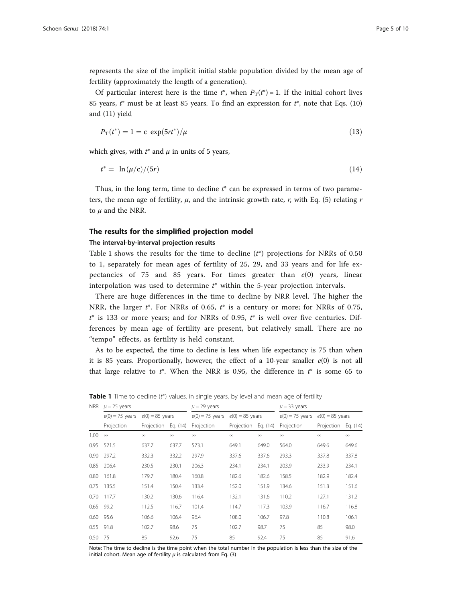<span id="page-4-0"></span>represents the size of the implicit initial stable population divided by the mean age of fertility (approximately the length of a generation).

Of particular interest here is the time  $t^*$ , when  $P_T(t^*) = 1$ . If the initial cohort lives 85 years,  $t^*$  must be at least 85 years. To find an expression for  $t^*$ , note that Eqs. ([10](#page-3-0)) and ([11\)](#page-3-0) yield

$$
P_{\rm T}(t^*) = 1 = c \, \exp(5rt^*)/\mu \tag{13}
$$

which gives, with  $t^*$  and  $\mu$  in units of 5 years,

$$
t^* = \ln(\mu/\mathsf{c})/(5r) \tag{14}
$$

Thus, in the long term, time to decline  $t^*$  can be expressed in terms of two parameters, the mean age of fertility,  $\mu$ , and the intrinsic growth rate, r, with Eq. [\(5](#page-2-0)) relating r to  $\mu$  and the NRR.

## The results for the simplified projection model

## The interval-by-interval projection results

Table 1 shows the results for the time to decline  $(t^*)$  projections for NRRs of 0.50 to 1, separately for mean ages of fertility of 25, 29, and 33 years and for life expectancies of 75 and 85 years. For times greater than  $e(0)$  years, linear interpolation was used to determine  $t^*$  within the 5-year projection intervals.

There are huge differences in the time to decline by NRR level. The higher the NRR, the larger  $t^*$ . For NRRs of 0.65,  $t^*$  is a century or more; for NRRs of 0.75,  $t^*$  is 133 or more years; and for NRRs of 0.95,  $t^*$  is well over five centuries. Differences by mean age of fertility are present, but relatively small. There are no "tempo" effects, as fertility is held constant.

As to be expected, the time to decline is less when life expectancy is 75 than when it is 85 years. Proportionally, however, the effect of a 10-year smaller  $e(0)$  is not all that large relative to  $t^*$ . When the NRR is 0.95, the difference in  $t^*$  is some 65 to

| NRR               | $\mu$ = 25 years |                                     |          | $\mu$ = 29 years |                                     |          | $\mu$ = 33 years |                                     |          |
|-------------------|------------------|-------------------------------------|----------|------------------|-------------------------------------|----------|------------------|-------------------------------------|----------|
|                   |                  | $e(0) = 75$ years $e(0) = 85$ years |          |                  | $e(0) = 75$ years $e(0) = 85$ years |          |                  | $e(0) = 75$ years $e(0) = 85$ years |          |
|                   | Projection       | Projection                          | Eq. (14) | Projection       | Projection Eq. (14)                 |          | Projection       | Projection Eq. (14)                 |          |
| 1.00              | $\infty$         | $\infty$                            | $\infty$ | $\infty$         | $\infty$                            | $\infty$ | $\infty$         | $\infty$                            | $\infty$ |
| 0.95              | 571.5            | 637.7                               | 637.7    | 573.1            | 649.1                               | 649.0    | 564.0            | 649.6                               | 649.6    |
| 0.90 <sub>1</sub> | 297.2            | 332.3                               | 332.2    | 297.9            | 337.6                               | 337.6    | 293.3            | 337.8                               | 337.8    |
| 0.85              | 206.4            | 230.5                               | 230.1    | 206.3            | 234.1                               | 234.1    | 203.9            | 233.9                               | 234.1    |
| 0.80              | 161.8            | 179.7                               | 180.4    | 160.8            | 182.6                               | 182.6    | 158.5            | 182.9                               | 182.4    |
| 0.75              | 135.5            | 151.4                               | 150.4    | 133.4            | 152.0                               | 151.9    | 134.6            | 151.3                               | 151.6    |
| 0.70              | 117.7            | 130.2                               | 130.6    | 116.4            | 132.1                               | 131.6    | 110.2            | 127.1                               | 131.2    |
| 0.65              | 99.2             | 112.5                               | 116.7    | 101.4            | 114.7                               | 117.3    | 103.9            | 116.7                               | 116.8    |
| 0.60              | 95.6             | 106.6                               | 106.4    | 96.4             | 108.0                               | 106.7    | 97.8             | 110.8                               | 106.1    |
| 0.55              | 91.8             | 102.7                               | 98.6     | 75               | 102.7                               | 98.7     | 75               | 85                                  | 98.0     |
| 0.50 75           |                  | 85                                  | 92.6     | 75               | 85                                  | 92.4     | 75               | 85                                  | 91.6     |
|                   |                  |                                     |          |                  |                                     |          |                  |                                     |          |

**Table 1** Time to decline (t\*) values, in single years, by level and mean age of fertility

Note: The time to decline is the time point when the total number in the population is less than the size of the initial cohort. Mean age of fertility  $\mu$  is calculated from Eq. [\(3](#page-2-0))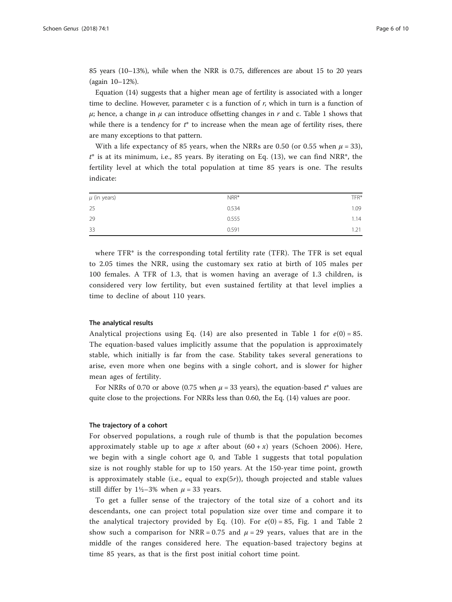85 years (10–13%), while when the NRR is 0.75, differences are about 15 to 20 years (again 10–12%).

Equation [\(14\)](#page-4-0) suggests that a higher mean age of fertility is associated with a longer time to decline. However, parameter c is a function of  $r$ , which in turn is a function of  $\mu$ ; hence, a change in  $\mu$  can introduce offsetting changes in r and c. Table [1](#page-4-0) shows that while there is a tendency for  $t^*$  to increase when the mean age of fertility rises, there are many exceptions to that pattern.

With a life expectancy of 85 years, when the NRRs are 0.50 (or 0.55 when  $\mu = 33$ ),  $t^*$  is at its minimum, i.e., 85 years. By iterating on Eq. ([13\)](#page-4-0), we can find NRR<sup>\*</sup>, the fertility level at which the total population at time 85 years is one. The results indicate:

| $\mu$ (in years) | $NRR*$ | TFR* |
|------------------|--------|------|
| 25               | 0.534  | 1.09 |
| 29               | 0.555  | 1.14 |
| 33               | 0.591  | 1.21 |

where  $TFR^*$  is the corresponding total fertility rate (TFR). The TFR is set equal to 2.05 times the NRR, using the customary sex ratio at birth of 105 males per 100 females. A TFR of 1.3, that is women having an average of 1.3 children, is considered very low fertility, but even sustained fertility at that level implies a time to decline of about 110 years.

### The analytical results

Analytical projections using Eq. ([14](#page-4-0)) are also presented in Table [1](#page-4-0) for  $e(0) = 85$ . The equation-based values implicitly assume that the population is approximately stable, which initially is far from the case. Stability takes several generations to arise, even more when one begins with a single cohort, and is slower for higher mean ages of fertility.

For NRRs of 0.70 or above (0.75 when  $\mu$  = 33 years), the equation-based  $t^*$  values are quite close to the projections. For NRRs less than 0.60, the Eq. ([14\)](#page-4-0) values are poor.

### The trajectory of a cohort

For observed populations, a rough rule of thumb is that the population becomes approximately stable up to age x after about  $(60 + x)$  years (Schoen [2006](#page-9-0)). Here, we begin with a single cohort age 0, and Table [1](#page-4-0) suggests that total population size is not roughly stable for up to 150 years. At the 150-year time point, growth is approximately stable (i.e., equal to  $exp(5r)$ ), though projected and stable values still differ by  $1\frac{1}{2}$ –3% when  $\mu$  = 33 years.

To get a fuller sense of the trajectory of the total size of a cohort and its descendants, one can project total population size over time and compare it to the analytical trajectory provided by Eq. ([10](#page-3-0)). For  $e(0) = 85$ , Fig. [1](#page-6-0) and Table [2](#page-7-0) show such a comparison for NRR = 0.75 and  $\mu$  = 29 years, values that are in the middle of the ranges considered here. The equation-based trajectory begins at time 85 years, as that is the first post initial cohort time point.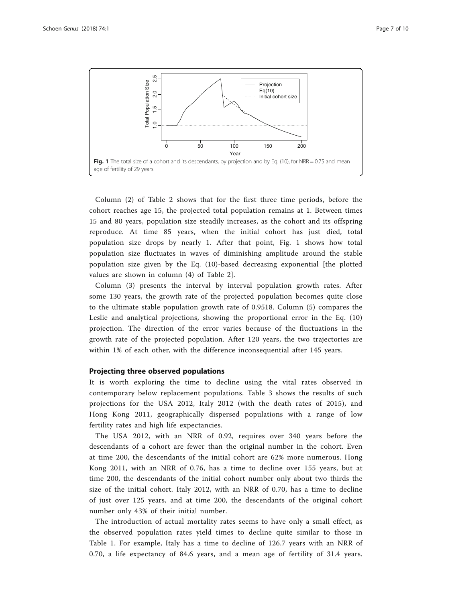<span id="page-6-0"></span>

Column (2) of Table [2](#page-7-0) shows that for the first three time periods, before the cohort reaches age 15, the projected total population remains at 1. Between times 15 and 80 years, population size steadily increases, as the cohort and its offspring reproduce. At time 85 years, when the initial cohort has just died, total population size drops by nearly 1. After that point, Fig. 1 shows how total population size fluctuates in waves of diminishing amplitude around the stable population size given by the Eq. ([10\)](#page-3-0)-based decreasing exponential [the plotted values are shown in column (4) of Table [2](#page-7-0)].

Column (3) presents the interval by interval population growth rates. After some 130 years, the growth rate of the projected population becomes quite close to the ultimate stable population growth rate of 0.9518. Column (5) compares the Leslie and analytical projections, showing the proportional error in the Eq. [\(10](#page-3-0)) projection. The direction of the error varies because of the fluctuations in the growth rate of the projected population. After 120 years, the two trajectories are within 1% of each other, with the difference inconsequential after 145 years.

## Projecting three observed populations

It is worth exploring the time to decline using the vital rates observed in contemporary below replacement populations. Table [3](#page-8-0) shows the results of such projections for the USA 2012, Italy 2012 (with the death rates of 2015), and Hong Kong 2011, geographically dispersed populations with a range of low fertility rates and high life expectancies.

The USA 2012, with an NRR of 0.92, requires over 340 years before the descendants of a cohort are fewer than the original number in the cohort. Even at time 200, the descendants of the initial cohort are 62% more numerous. Hong Kong 2011, with an NRR of 0.76, has a time to decline over 155 years, but at time 200, the descendants of the initial cohort number only about two thirds the size of the initial cohort. Italy 2012, with an NRR of 0.70, has a time to decline of just over 125 years, and at time 200, the descendants of the original cohort number only 43% of their initial number.

The introduction of actual mortality rates seems to have only a small effect, as the observed population rates yield times to decline quite similar to those in Table [1](#page-4-0). For example, Italy has a time to decline of 126.7 years with an NRR of 0.70, a life expectancy of 84.6 years, and a mean age of fertility of 31.4 years.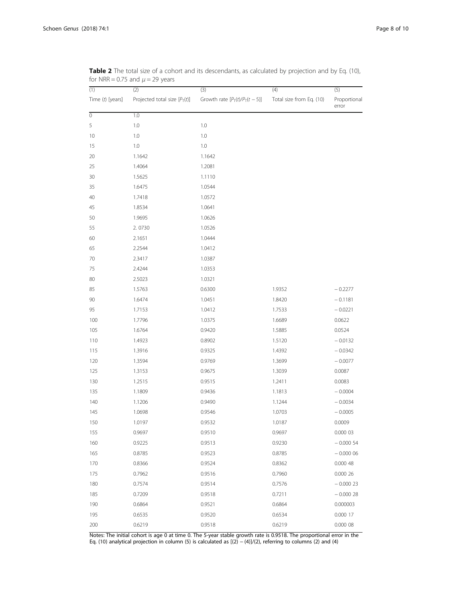| (1)              | (2)                             | (3)                             | (4)                      | (5)                   |
|------------------|---------------------------------|---------------------------------|--------------------------|-----------------------|
| Time (t) [years] | Projected total size $[P_T(t)]$ | Growth rate $[P_T(t)/P_T(t-5)]$ | Total size from Eq. (10) | Proportional<br>error |
| $\overline{0}$   | 1.0                             |                                 |                          |                       |
| 5                | $1.0\,$                         | 1.0                             |                          |                       |
| 10               | $1.0\,$                         | 1.0                             |                          |                       |
| 15               | $1.0\,$                         | 1.0                             |                          |                       |
| $20\,$           | 1.1642                          | 1.1642                          |                          |                       |
| 25               | 1.4064                          | 1.2081                          |                          |                       |
| 30               | 1.5625                          | 1.1110                          |                          |                       |
| 35               | 1.6475                          | 1.0544                          |                          |                       |
| 40               | 1.7418                          | 1.0572                          |                          |                       |
| 45               | 1.8534                          | 1.0641                          |                          |                       |
| 50               | 1.9695                          | 1.0626                          |                          |                       |
| 55               | 2.0730                          | 1.0526                          |                          |                       |
| 60               | 2.1651                          | 1.0444                          |                          |                       |
| 65               | 2.2544                          | 1.0412                          |                          |                       |
| 70               | 2.3417                          | 1.0387                          |                          |                       |
| 75               | 2.4244                          | 1.0353                          |                          |                       |
| 80               | 2.5023                          | 1.0321                          |                          |                       |
| 85               | 1.5763                          | 0.6300                          | 1.9352                   | $-0.2277$             |
| 90               | 1.6474                          | 1.0451                          | 1.8420                   | $-0.1181$             |
| 95               | 1.7153                          | 1.0412                          | 1.7533                   | $-0.0221$             |
| 100              | 1.7796                          | 1.0375                          | 1.6689                   | 0.0622                |
| 105              | 1.6764                          | 0.9420                          | 1.5885                   | 0.0524                |
| 110              | 1.4923                          | 0.8902                          | 1.5120                   | $-0.0132$             |
| 115              | 1.3916                          | 0.9325                          | 1.4392                   | $-0.0342$             |
| 120              | 1.3594                          | 0.9769                          | 1.3699                   | $-0.0077$             |
| 125              | 1.3153                          | 0.9675                          | 1.3039                   | 0.0087                |
| 130              | 1.2515                          | 0.9515                          | 1.2411                   | 0.0083                |
| 135              | 1.1809                          | 0.9436                          | 1.1813                   | $-0.0004$             |
| 140              | 1.1206                          | 0.9490                          | 1.1244                   | $-0.0034$             |
| 145              | 1.0698                          | 0.9546                          | 1.0703                   | $-0.0005$             |
| 150              | 1.0197                          | 0.9532                          | 1.0187                   | 0.0009                |
| 155              | 0.9697                          | 0.9510                          | 0.9697                   | 0.000 03              |
| 160              | 0.9225                          | 0.9513                          | 0.9230                   | $-0.00054$            |
| 165              | 0.8785                          | 0.9523                          | 0.8785                   | $-0.00006$            |
| 170              | 0.8366                          | 0.9524                          | 0.8362                   | 0.00048               |
| 175              | 0.7962                          | 0.9516                          | 0.7960                   | 0.000 26              |
| 180              | 0.7574                          | 0.9514                          | 0.7576                   | $-0.00023$            |
| 185              | 0.7209                          | 0.9518                          | 0.7211                   | $-0.00028$            |
| 190              | 0.6864                          | 0.9521                          | 0.6864                   | 0.000003              |
| 195              | 0.6535                          | 0.9520                          | 0.6534                   | 0.000 17              |
| 200              | 0.6219                          | 0.9518                          | 0.6219                   | 0.000 08              |

<span id="page-7-0"></span>Table 2 The total size of a cohort and its descendants, as calculated by projection and by Eq. ([10](#page-3-0)), for NRR = 0.75 and  $\mu$  = 29 years

Notes: The initial cohort is age 0 at time 0. The 5-year stable growth rate is 0.9518. The proportional error in the Eq. [\(10](#page-3-0)) analytical projection in column (5) is calculated as [(2) − (4)]/(2), referring to columns (2) and (4)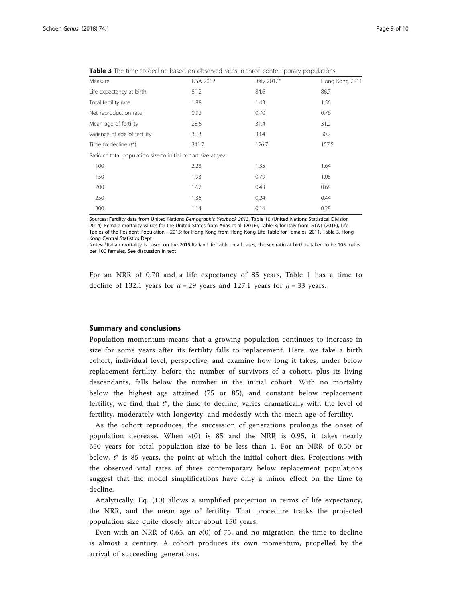| Measure                                                        | <b>USA 2012</b> | Italy 2012* | Hong Kong 2011 |
|----------------------------------------------------------------|-----------------|-------------|----------------|
| Life expectancy at birth                                       | 81.2            | 84.6        | 86.7           |
| Total fertility rate                                           | 1.88            | 1.43        | 1.56           |
| Net reproduction rate                                          | 0.92            | 0.70        | 0.76           |
| Mean age of fertility                                          | 28.6            | 31.4        | 31.2           |
| Variance of age of fertility                                   | 38.3            | 33.4        | 30.7           |
| Time to decline $(t^*)$                                        | 341.7           | 126.7       | 157.5          |
| Ratio of total population size to initial cohort size at year: |                 |             |                |
| 100                                                            | 2.28            | 1.35        | 1.64           |
| 150                                                            | 1.93            | 0.79        | 1.08           |
| 200                                                            | 1.62            | 0.43        | 0.68           |
| 250                                                            | 1.36            | 0.24        | 0.44           |
| 300                                                            | 1.14            | 0.14        | 0.28           |

<span id="page-8-0"></span>Table 3 The time to decline based on observed rates in three contemporary populations

Sources: Fertility data from United Nations Demographic Yearbook 2013, Table 10 (United Nations Statistical Division [2014\)](#page-9-0). Female mortality values for the United States from Arias et al. ([2016](#page-9-0)), Table 3; for Italy from ISTAT [\(2016\)](#page-9-0), Life Tables of the Resident Population—2015; for Hong Kong from Hong Kong Life Table for Females, [2011,](#page-9-0) Table 3, Hong Kong Central Statistics Dept

Notes: \*Italian mortality is based on the 2015 Italian Life Table. In all cases, the sex ratio at birth is taken to be 105 males per 100 females. See discussion in text

For an NRR of 0.70 and a life expectancy of 85 years, Table [1](#page-4-0) has a time to decline of 132.1 years for  $\mu = 29$  years and 127.1 years for  $\mu = 33$  years.

## Summary and conclusions

Population momentum means that a growing population continues to increase in size for some years after its fertility falls to replacement. Here, we take a birth cohort, individual level, perspective, and examine how long it takes, under below replacement fertility, before the number of survivors of a cohort, plus its living descendants, falls below the number in the initial cohort. With no mortality below the highest age attained (75 or 85), and constant below replacement fertility, we find that  $t^*$ , the time to decline, varies dramatically with the level of fertility, moderately with longevity, and modestly with the mean age of fertility.

As the cohort reproduces, the succession of generations prolongs the onset of population decrease. When  $e(0)$  is 85 and the NRR is 0.95, it takes nearly 650 years for total population size to be less than 1. For an NRR of 0.50 or below,  $t^*$  is 85 years, the point at which the initial cohort dies. Projections with the observed vital rates of three contemporary below replacement populations suggest that the model simplifications have only a minor effect on the time to decline.

Analytically, Eq. ([10\)](#page-3-0) allows a simplified projection in terms of life expectancy, the NRR, and the mean age of fertility. That procedure tracks the projected population size quite closely after about 150 years.

Even with an NRR of 0.65, an  $e(0)$  of 75, and no migration, the time to decline is almost a century. A cohort produces its own momentum, propelled by the arrival of succeeding generations.